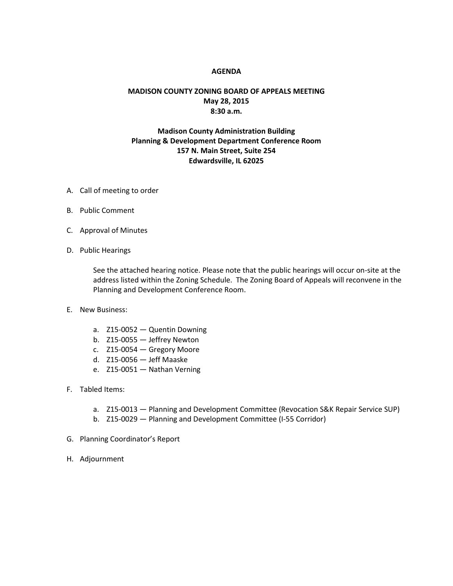## **AGENDA**

## **MADISON COUNTY ZONING BOARD OF APPEALS MEETING May 28, 2015 8:30 a.m.**

## **Madison County Administration Building Planning & Development Department Conference Room 157 N. Main Street, Suite 254 Edwardsville, IL 62025**

- A. Call of meeting to order
- B. Public Comment
- C. Approval of Minutes
- D. Public Hearings

See the attached hearing notice. Please note that the public hearings will occur on-site at the address listed within the Zoning Schedule. The Zoning Board of Appeals will reconvene in the Planning and Development Conference Room.

- E. New Business:
	- a. Z15-0052 Quentin Downing
	- b. Z15-0055 Jeffrey Newton
	- c. Z15-0054 Gregory Moore
	- d. Z15-0056 Jeff Maaske
	- e. Z15-0051 Nathan Verning
- F. Tabled Items:
	- a. Z15-0013 Planning and Development Committee (Revocation S&K Repair Service SUP)
	- b. Z15-0029 Planning and Development Committee (I-55 Corridor)
- G. Planning Coordinator's Report
- H. Adjournment